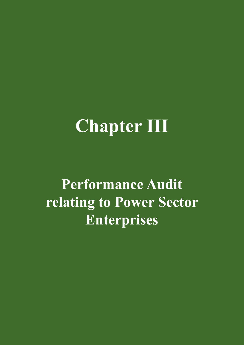# **Chapter III**

**Performance Audit relating to Power Sector Enterprises**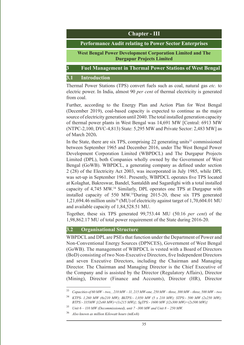

#### **3.1 Introduction**

Thermal Power Stations (TPS) convert fuels such as coal, natural gas *etc.* to electric power. In India, almost 90 *per cent* of thermal electricity is generated from coal.

Further, according to the Energy Plan and Action Plan for West Bengal (December 2019), coal-based capacity is expected to continue as the major source of electricity generation until 2040. The total installed generation capacity of thermal power plants in West Bengal was 14,691 MW [Central: 6913 MW (NTPC-2,100, DVC-4,813) State: 5,295 MW and Private Sector: 2,483 MW] as of March 2020**.** 

In the State, there are six TPS, comprising  $22$  generating units<sup>33</sup> commissioned between September 1965 and December 2016, under The West Bengal Power Development Corporation Limited (WBPDCL) and The Durgapur Projects Limited (DPL), both Companies wholly owned by the Government of West Bengal (GoWB). WBPDCL, a generating company as defined under section 2 (28) of the Electricity Act 2003, was incorporated in July 1985, while DPL was set-up in September 1961. Presently, WBPDCL operates five TPS located at Kolaghat, Bakreswar, Bandel, Santaldih and Sagardighi with a total installed capacity of 4,745 MW.<sup>34</sup> Similarly, DPL operates one TPS at Durgapur with installed capacity of 550 MW.35During 2015-20, these six TPS generated  $1,21,694.46$  million units<sup>36</sup> (MU) of electricity against target of  $1,70,604.01$  MU and available capacity of 1,84,528.51 MU.

Together, these six TPS generated 99,753.44 MU (50.16 *per cent*) of the 1,98,862.17 MU of total power requirement of the State during 2016-20.

## **3.2 Organisational Structure**

WBPDCL and DPL are PSEs that function under the Department of Power and Non-Conventional Energy Sources (DPNCES), Government of West Bengal (GoWB). The management of WBPDCL is vested with a Board of Directors (BoD) consisting of two Non-Executive Directors, five Independent Directors and seven Executive Directors, including the Chairman and Managing Director. The Chairman and Managing Director is the Chief Executive of the Company and is assisted by the Director (Regulatory Affairs), Director (Mining), Director (Finance and Accounts), Director (HR), Director

<sup>33</sup> *Capacities of 60 MW – two, , 210 MW – 11, 215 MW-one, 250 MW – three, 300 MW – three, 500 MW – two*

<sup>34</sup> *KTPS- 1,260 MW (6x210 MW); BkTPS:- 1,050 MW (5 x 210 MW); STPS:- 500 MW (2x250 MW); BTPS:- 335MW {(2x60 MW)+(1x215 MW)}; SgTPS:- 1600 MW {(2x300 MW)+(2x500 MW)}*

<sup>35</sup> *Unit 6 – 110 MW (Decommissioned), unit 7 –300 MW and Unit 8 – 250 MW.*

<sup>36</sup> *Also known as million Kilowatt hours (mKwh*)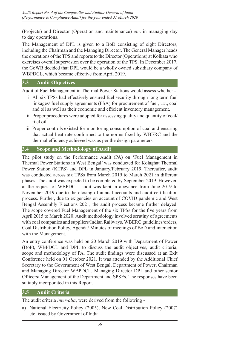(Projects) and Director (Operation and maintenance) *etc*. in managing day to day operations.

The Management of DPL is given to a BoD consisting of eight Directors, including the Chairman and the Managing Director. The General Manager heads the operations of the TPS and reports to the Director (Operations) at Kolkata who exercises overall supervision over the operation of the TPS. In December 2017, the GoWB decided that DPL would be a wholly owned subsidiary company of WBPDCL, which became effective from April 2019.

#### **3.3 Audit Objectives**

Audit of Fuel Management in Thermal Power Stations would assess whether **-**

- i. All six TPSs had effectively ensured fuel security through long term fuel linkages/ fuel supply agreements (FSA) for procurement of fuel, *viz*., coal and oil as well as their economic and efficient inventory management.
- ii. Proper procedures were adopted for assessing quality and quantity of coal/ fuel oil.
- iii. Proper controls existed for monitoring consumption of coal and ensuring that actual heat rate conformed to the norms fixed by WBERC and the thermal efficiency achieved was as per the design parameters.

## **3.4 Scope and Methodology of Audit**

The pilot study on the Performance Audit (PA) on 'Fuel Management in Thermal Power Stations in West Bengal' was conducted for Kolaghat Thermal Power Station (KTPS) and DPL in January/February 2019. Thereafter, audit was conducted across six TPSs from March 2019 to March 2021 in different phases. The audit was expected to be completed by September 2019. However, at the request of WBPDCL, audit was kept in abeyance from June 2019 to November 2019 due to the closing of annual accounts and audit certification process. Further, due to exigencies on account of COVID pandemic and West Bengal Assembly Elections 2021, the audit process became further delayed. The scope covered Fuel Management of the six TPSs for the five years from April 2015 to March 2020. Audit methodology involved scrutiny of agreements with coal companies and suppliers/Indian Railways, WBERC guidelines/orders, Coal Distribution Policy, Agenda/ Minutes of meetings of BoD and interaction with the Management.

An entry conference was held on 20 March 2019 with Department of Power (DoP), WBPDCL and DPL to discuss the audit objectives, audit criteria, scope and methodology of PA. The audit findings were discussed at an Exit Conference held on 01 October 2021. It was attended by the Additional Chief Secretary to the Government of West Bengal, Department of Power; Chairman and Managing Director WBPDCL, Managing Director DPL and other senior Officers/ Management of the Department and SPSEs. The responses have been suitably incorporated in this Report.

## **3.5 Audit Criteria**

The audit criteria *inter-alia*, were derived from the following -

a) National Electricity Policy (2005), New Coal Distribution Policy (2007) etc. issued by Government of India.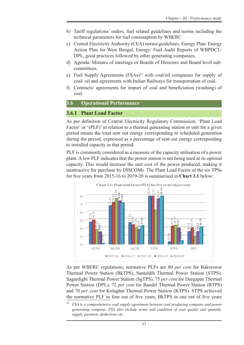- b) Tariff regulations/ orders, fuel related guidelines and norms including the technical parameters for fuel consumption by WBERC.
- c) Central Electricity Authority (CEA) norms/guidelines. Energy Plan/ Energy Action Plan for West Bengal, Energy/ Fuel Audit Reports of WBPDCL/ DPL, good practices followed by other generating companies.
- d) Agenda/ Minutes of meetings of Boards of Directors and Board level subcommittees.
- e) Fuel Supply Agreements (FSAs)<sup>37</sup> with coal/oil companies for supply of coal/ oil and agreements with Indian Railways for transportation of coal.
- f) Contracts/ agreements for import of coal and beneficiation (washing) of coal.

#### **3.6 Operational Performance**

#### **3.6.1 Plant Load Factor**

As per definition of Central Electricity Regulatory Commission, 'Plant Load Factor' or '(PLF)' in relation to a thermal generating station or unit for a given period means the total sent out energy corresponding to scheduled generation during the period, expressed as a percentage of sent out energy corresponding to installed capacity in that period.

PLF is commonly considered as a measure of the capacity utilisation of a power plant. A low PLF indicates that the power station is not being used at its optimal capacity. This would increase the unit cost of the power produced, making it unattractive for purchase by DISCOMs. The Plant Load Factor of the six TPSs for five years from 2015‑16 to 2019-20 is summarised in **Chart 3.1** below: below:



As per WBERC regulations, normative PLFs are 80 *per cent* for Bakreswar As per WBERC regulations, normative PLFs are 80 *per cent* for Bakreswar Thermal Power Station (BkTPS), Santaldih Thermal Power Station (STPS), Thermal Power Station (BkTPS), Santaldih Thermal Power Station (STPS), Sagardighi Thermal Power Station (SgTPS), 75 *per cent* for Durgapur Thermal Sagardighi Thermal Power Station (SgTPS), 75 *per cent* for Durgapur Thermal Power Station (DPL), 72 *per cent* for Bandel Thermal Power Station (BTPS) Power Station (DPL), 72 *per cent* for Bandel Thermal Power Station (BTPS) and 70 *per cent* for Kolaghat Thermal Power Station (KTPS). STPS achieved and 70 *per cent* for Kolaghat Thermal Power Station (KTPS). STPS achieved the normative PLF in four out of five years, BkTPS in one out of five years the normative PLF in four out of five years, BkTPS in one out of five years

<sup>&</sup>lt;sup>37</sup> *FSA is a comprehensive coal supply agreement between coal producing company and power* generating company. FSA also include terms and condition of coal quality and quantity, *3.6.2. Working Results supply, payment, deductions etc.*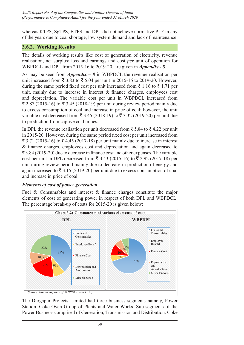whereas KTPS, SgTPS, BTPS and DPL did not achieve normative PLF in any of the years due to coal shortage, low system demand and lack of maintenance.

## **3.6.2. Working Results**

The details of working results like cost of generation of electricity, revenue realisation, net surplus/ loss and earnings and cost *per* unit of operation for WBPDCL and DPL from 2015-16 to 2019-20, are given in *Appendix - 8*.

As may be seen from *Appendix – 8* in WBPDCL the revenue realisation per unit increased from  $\bar{\xi}$  3.83 to  $\bar{\xi}$  5.04 per unit in 2015-16 to 2019-20. However, during the same period fixed cost per unit increased from  $\bar{\mathfrak{c}}$  1.16 to  $\bar{\mathfrak{c}}$  1.71 per unit, mainly due to increase in interest  $\&$  finance charges, employees cost and depreciation. The variable cost per unit in WBPDCL increased from  $\bar{\xi}$  2.87 (2015-16) to  $\bar{\xi}$  3.45 (2018-19) per unit during review period mainly due to excess consumption of coal and increase in price of coal; however, the unit variable cost decreased from  $\bar{\xi}$  3.45 (2018-19) to  $\bar{\xi}$  3.32 (2019-20) per unit due to production from captive coal mines.

In DPL the revenue realisation per unit decreased from  $\bar{\tau}$  5.84 to  $\bar{\tau}$  4.22 per unit in 2015‑20. However, during the same period fixed cost per unit increased from ₹ 3.71 (2015-16) to ₹ 4.45 (2017-18) per unit mainly due to increase in interest & finance charges, employees cost and depreciation and again decreased to & finance charges, employees cost and depreciation and again decreased to  $\overline{\mathcal{F}}$  3.84 (2019-20) due to decrease in finance cost and other expenses. The variable  $\cot \varphi$  (2015-16) and to accreased from  $\bar{\tau}$  3.43 (2015-16) to  $\bar{\tau}$  2.92 (2017-18) per unit during review period mainly due to decrease in production of energy and again increased to  $\overline{\xi}$  3.15 (2019-20) per unit due to excess consumption of coal and increase in price of coal.

# *Elements of cost of power generation Elements of cost of power generation*

Fuel  $\&$  Consumables and interest  $\&$  finance charges constitute the major elements of cost of generating power in respect of both DPL and WBPDCL. elements of cost of generating power in respect of both DPL and WBPDCL. The percentage break-up of costs for 2015-20 is given below: The percentage break-up of costs for 2015-20 is given below:



*(Source:Annual Reports of WBPDCL and DPL)*

The Durgapur Projects Limited had three business segments namely, Power Station, Coke Oven Group of Plants and Water Works. Sub-segments of the Power Business comprised of Generation, Transmission and Distribution. Coke  $G$ roup of  $P$ lant (Co $G$ F) was shut down (2015). Dependent of employees to bear the employees the employees of  $\mathbb{R}$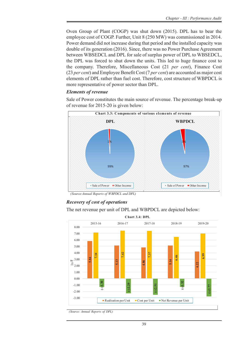Oven Group of Plant (COGP) was shut down (2015). DPL has to bear the employee cost of COGP. Further, Unit 8 (250 MW) was commissioned in 2014. Power demand did not increase during that period and the installed capacity was double of its generation (2016). Since, there was no Power Purchase Agreement between WBSEDCL and DPL for sale of surplus power of DPL to WBSEDCL, the DPL was forced to shut down the units. This led to huge finance cost to the company. Therefore, Miscellaneous Cost (21 *per cent*), Finance Cost (23 *per cent*) and Employee Benefit Cost (7 *per cent*) are accounted as major cost elements of DPL rather than fuel cost. Therefore, cost structure of WBPDCL is more representative of power sector than DPL.

## *Elements of revenue Elements of revenue*

Sale of Power constitutes the main source of revenue. The percentage break-up Sale of Power constitutes the main source of revenue. The percentage break-up of revenue for 2015-20 is given below: of revenue for 2015-20 is given below:



*(Source:Annual Reports of WBPDCL and DPL)*

## *Recovery of cost of operations Recovery of cost of operations*

The net revenue per unit of DPL and WBPDCL are depicted below: The net revenue per unit of DPL and WBPDCL are depicted below:



*(Source: Annual Reports of DPL)*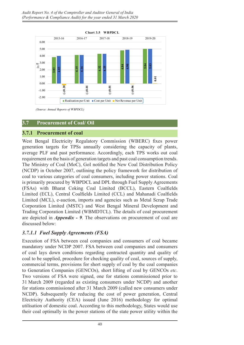

*(Source: Annual Reports of WBPDCL)*

## **3.7 Procurement of Coal/ Oil**

#### **3.7.1 Procurement of coal**

West Bengal Electricity Regulatory Commission (WBERC) fixes power generation targets for TPSs annually considering the capacity of plants, average PLF and past performance. Accordingly, each TPS works out coal requirement on the basis of generation targets and past coal consumption trends. The Ministry of Coal (MoC), GoI notified the New Coal Distribution Policy (NCDP) in October 2007, outlining the policy framework for distribution of coal to various categories of coal consumers, including power stations. Coal is primarily procured by WBPDCL and DPL through Fuel Supply Agreements (FSAs) with Bharat Coking Coal Limited (BCCL), Eastern Coalfields Limited (ECL), Central Coalfields Limited (CCL) and Mahanadi Coalfields Limited (MCL), e-auction, imports and agencies such as Metal Scrap Trade Corporation Limited (MSTC) and West Bengal Mineral Development and Trading Corporation Limited (WBMDTCL). The details of coal procurement are depicted in *Appendix - 9*. The observations on procurement of coal are discussed below:

## *3.7.1.1 Fuel Supply Agreements (FSA)*

Execution of FSA between coal companies and consumers of coal became mandatory under NCDP 2007. FSA between coal companies and consumers of coal lays down conditions regarding contracted quantity and quality of coal to be supplied, procedure for checking quality of coal, sources of supply, commercial terms, provisions for short supply of coal by the coal companies to Generation Companies (GENCOs), short lifting of coal by GENCOs *etc*. Two versions of FSA were signed, one for stations commissioned prior to 31 March 2009 (regarded as existing consumers under NCDP) and another for stations commissioned after 31 March 2009 (called new consumers under NCDP). Subsequently for reducing the cost of power generation, Central Electricity Authority (CEA) issued (June 2016) methodology for optimal utilisation of domestic coal. According to this methodology, States would use their coal optimally in the power stations of the state power utility within the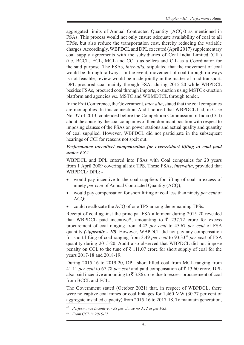aggregated limits of Annual Contracted Quantity (ACQs) as mentioned in FSAs. This process would not only ensure adequate availability of coal to all TPSs, but also reduce the transportation cost, thereby reducing the variable charges. Accordingly, WBPDCL and DPL executed (April 2017) supplementary coal supply agreements with the subsidiaries of Coal India Limited (CIL) (i.e. BCCL, ECL, MCL and CCL) as sellers and CIL as a Coordinator for the said purpose. The FSAs, *inter-alia,* stipulated that the movement of coal would be through railways. In the event, movement of coal through railways is not feasible, review would be made jointly in the matter of road transport. DPL procured coal mainly through FSAs during 2015-20 while WBPDCL besides FSAs, procured coal through imports, e-auction using MSTC e-auction platform and agencies *viz*. MSTC and WBMDTCL through tender.

In the Exit Conference, the Government, *inter alia*, stated that the coal companies are monopolies. In this connection, Audit noticed that WBPDCL had, in Case No. 37 of 2013, contended before the Competition Commission of India (CCI) about the abuse by the coal companies of their dominant position with respect to imposing clauses of the FSAs on power stations and actual quality and quantity of coal supplied. However, WBPDCL did not participate in the subsequent hearings of CCI for reasons not spelt out.

## *Performance incentive/ compensation for excess/short lifting of coal paid under FSA*

WBPDCL and DPL entered into FSAs with Coal companies for 20 years from 1 April 2009 covering all six TPS. These FSAs, *inter-alia*, provided that WBPDCL/ DPL: -

- would pay incentive to the coal suppliers for lifting of coal in excess of ninety *per cent* of Annual Contracted Quantity (ACQ);
- would pay compensation for short lifting of coal less than ninety *per cent* of ACQ;
- could re-allocate the ACQ of one TPS among the remaining TPSs.

Receipt of coal against the principal FSA allotment during 2015-20 revealed that WBPDCL paid incentive<sup>38</sup>, amounting to  $\bar{\tau}$  237.72 crore for excess procurement of coal ranging from 4.42 *per cent* to 45.67 *per cent* of FSA quantity *(Appendix - 10)*. However, WBPDCL did not pay any compensation for short lifting of coal ranging from 3.49 *per cent* to 93.3339 *per cent* of FSA quantity during 2015-20. Audit also observed that WBPDCL did not impose penalty on CCL to the tune of  $\bar{\tau}$  111.07 crore for short supply of coal for the years 2017-18 and 2018-19.

During 2015-16 to 2019-20, DPL short lifted coal from MCL ranging from 41.11 *per cent* to 67.78 *per cent* and paid compensation of  $\bar{\tau}$  13.60 crore. DPL also paid incentive amounting to  $\bar{\tau}$  3.86 crore due to excess procurement of coal from BCCL and ECL.

The Government stated (October 2021) that, in respect of WBPDCL, there were no captive coal mines or coal linkages for 1,460 MW (30.77 per cent of aggregate installed capacity) from 2015-16 to 2017-18. To maintain generation,

<sup>38</sup> *Performance Incentive: - As per clause no 3.12 as per FSA.*

<sup>39</sup> *From CCL in 2016-17.*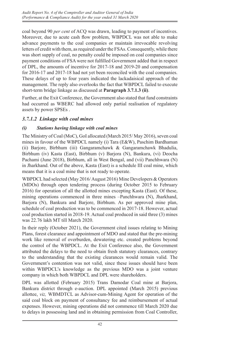coal beyond 90 *per cent* of ACQ was drawn, leading to payment of incentives. Moreover, due to acute cash flow problem, WBPDCL was not able to make advance payments to the coal companies or maintain irrevocable revolving letters of credit with them, as required under the FSAs. Consequently, while there was short supply of coal, no penalty could be imposed on coal companies since payment conditions of FSA were not fulfilled Government added that in respect of DPL, the amounts of incentive for 2017-18 and 2019-20 and compensation for 2016-17 and 2017-18 had not yet been reconciled with the coal companies. These delays of up to four years indicated the lackadaisical approach of the management. The reply also overlooks the fact that WBPDCL failed to execute short-term bridge linkage as discussed at **Paragraph 3.7.1.3 (ii)**.

Further, at the Exit Conference, the Government also stated that fund constraints had occurred as WBERC had allowed only partial realisation of regulatory assets by power SPSEs .

## *3.7.1.2 Linkage with coal mines*

## *(i) Stations having linkage with coal mines*

The Ministry of Coal (MoC), GoI allocated (March 2015/ May 2016), seven coal mines in favour of the WBPDCL namely (i) Tara (E&W), Paschim Bardhaman (ii) Barjore, Birbhum (iii) Gangaramchawk & Gangaramchawk Bhadulia, Birbhum (iv) Kasta (East), Birbhum (v) Barjora (N), Bankura, (vi) Deocha Pachami (June 2018), Birbhum, all in West Bengal, and (vii) Panchhwara (N) in Jharkhand. Out of the above, Kasta (East) is a schedule III coal mine, which means that it is a coal mine that is not ready to operate.

WBPDCL had selected (May 2016/ August 2016) Mine Developers & Operators (MDOs) through open tendering process (during October 2015 to February 2016) for operation of all the allotted mines excepting Kasta (East). Of these, mining operations commenced in three mines –Panchhwara (N), Jharkhand, Barjora (N), Bankura and Barjore, Birbhum. As per approved mine plan, schedule of coal production was to be commenced in 2017-18. However, actual coal production started in 2018-19. Actual coal produced in said three (3) mines was 22.76 lakh MT till March 2020.

In their reply (October 2021), the Government cited issues relating to Mining Plans, forest clearance and appointment of MDO and stated that the pre-mining work like removal of overburden, dewatering etc. created problems beyond the control of the WBPDCL. At the Exit Conference also, the Government attributed the delays to the need to obtain fresh statutory clearances, contrary to the understanding that the existing clearances would remain valid. The Government's contention was not valid, since these issues should have been within WBPDCL's knowledge as the previous MDO was a joint venture company in which both WBPDCL and DPL were shareholders.

DPL was allotted (February 2015) Trans Damodar Coal mine at Barjora, Bankura district through e-auction. DPL appointed (March 2015) previous allottee, *viz,* WBMDTCL as Advisor-cum-Mining Agent for operation of the said coal block on payment of consultancy fee and reimbursement of actual expenses. However, mining operations did not commence till March 2020 due to delays in possessing land and in obtaining permission from Coal Controller,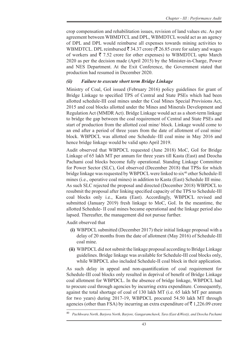crop compensation and rehabilitation issues, revision of land values etc. As per agreement between WBMDTCL and DPL, WBMDTCL would act as an agency of DPL and DPL would reimburse all expenses towards mining activities to WBMDTCL. DPL reimbursed  $\bar{\xi}$  34.37 crore ( $\bar{\xi}$  26.85 crore for salary and wages of workers and  $\bar{\tau}$  7.52 crore for other expenses) to WBMDTCL upto March 2020 as per the decision made (April 2015) by the Minister-in-Charge, Power and NES Department. At the Exit Conference, the Government stated that production had resumed in December 2020.

## *(ii) Failure to execute short term Bridge Linkage*

Ministry of Coal, GoI issued (February 2016) policy guidelines for grant of Bridge Linkage to specified TPS of Central and State PSEs which had been allotted schedule-III coal mines under the Coal Mines Special Provisions Act, 2015 and coal blocks allotted under the Mines and Minerals Development and Regulation Act (MMDR Act). Bridge Linkage would act as a short-term linkage to bridge the gap between the coal requirement of Central and State PSEs and start of production from the allotted coal mine/ block. Linkage would come to an end after a period of three years from the date of allotment of coal mine/ block. WBPDCL was allotted one Schedule–III coal mine in May 2016 and hence bridge linkage would be valid upto April 2019.

Audit observed that WBPDCL requested (June 2018) MoC, GoI for Bridge Linkage of 65 lakh MT per annum for three years till Kasta (East) and Deocha Pachami coal blocks become fully operational. Standing Linkage Committee for Power Sector (SLC), GoI observed (December 2018) that TPSs for which bridge linkage was requested by WBPDCL were linked to six<sup>40</sup> other Schedule-II mines (i.e., operative coal mines) in addition to Kasta (East) Schedule III mine. As such SLC rejected the proposal and directed (December 2018) WBPDCL to resubmit the proposal after linking specified capacity of the TPS to Schedule-III coal blocks only i.e., Kasta (East). Accordingly, WBPDCL revised and submitted (January 2019) fresh linkage to MoC, GoI. In the meantime, the allotted Schedule- II coal mines became operational and the linkage period also lapsed. Thereafter, the management did not pursue further.

Audit observed that

- **(i)** WBPDCL submitted (December 2017) their initial linkage proposal with a delay of 20 months from the date of allotment (May 2016) of Schedule-III coal mine.
- **(ii)** WBPDCL did not submit the linkage proposal according to Bridge Linkage guidelines. Bridge linkage was available for Schedule-III coal blocks only, while WBPDCL also included Schedule-II coal block in their application.

As such delay in appeal and non-quantification of coal requirement for Schedule-III coal blocks only resulted in deprival of benefit of Bridge Linkage coal allotment for WBPDCL. In the absence of bridge linkage, WBPDCL had to procure coal through agencies by incurring extra expenditure. Consequently, against the total shortage of coal of 130 lakh MT (i.e. 65 lakh MT per annum for two years) during 2017-19, WBPDCL procured 54.50 lakh MT through agencies (other than FSA) by incurring an extra expenditure of  $\bar{\tau}$  1,226.09 crore

<sup>40</sup> *Pachhwara North, Barjora North, Barjore, Gangaramchawk, Tara (East &West)), and Deocha Pachami*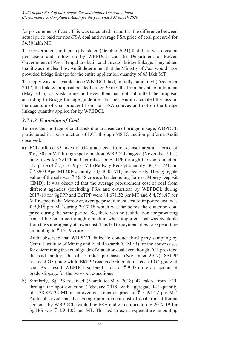for procurement of coal. This was calculated in audit as the difference between actual price paid for non-FSA coal and average FSA price of coal procured for 54.50 lakh MT.

The Government, in their reply, stated (October 2021) that there was constant persuasion and follow up by WBPDCL and the Department of Power, Government of West Bengal to obtain coal through bridge linkage. They added that it was not clear how Audit determined that the Ministry of Coal would have provided bridge linkage for the entire application quantity of 65 lakh MT.

The reply was not tenable since WBPDCL had, initially, submitted (December 2017) the linkage proposal belatedly after 20 months from the date of allotment (May 2016) of Kasta mine and even then had not submitted the proposal according to Bridge Linkage guidelines. Further, Audit calculated the loss on the quantum of coal procured from non-FSA sources and not on the bridge linkage quantity applied for by WPBDCL

## *3.7.1.3 E-auction of Coal*

To meet the shortage of coal stock due to absence of bridge linkage, WBPDCL participated in spot e-auction of ECL through MSTC auction platform. Audit observed:

a) ECL offered 35 rakes of G4 grade coal from Asansol area at a price of  $\bar{\mathcal{F}}$  6,180 per MT through spot e-auction. WBPDCL bagged (November 2017) nine rakes for SgTPP and six rakes for BkTPP through the spot e-auction at a price of  $\bar{\tau}$  7,512.19 per MT (Railway Receipt quantity: 30,731.22) and  $\overline{5}$  7,890.09 per MT (RR quantity: 20,640.03 MT), respectively. The aggregate value of the sale was  $\bar{\mathcal{R}}$  46.48 crore, after deducting Earnest Money Deposit (EMD). It was observed that the average procurement cost of coal from different agencies (excluding FSA and e-auction) by WBPDCL during 2017-18 for SgTPP and BkTPP were  $\bar{z}$ 4,671.52 per MT and  $\bar{z}$  4,758.87 per MT respectively. Moreover, average procurement cost of imported coal was  $\bar{\tau}$  5,818 per MT during 2017-18 which was far below the e-auction coal price during the same period. So, there was no justification for procuring coal at higher price through e-auction when imported coal was available from the same agency at lower cost. This led to payment of extra expenditure amounting to  $\bar{\tau}$  15.19 crore.

Audit observed that WBPDCL failed to conduct third party sampling by Central Institute of Mining and Fuel Research (CIMFR) for the above cases for determining the actual grade of e-auction coal even though ECL provided the said facility. Out of 15 rakes purchased (November 2017), SgTPP received G5 grade while BkTPP received G6 grade instead of G4 grade of coal. As a result, WBPDCL suffered a loss of  $\bar{\xi}$  9.07 crore on account of grade slippage for the two-spot e-auctions.

b) Similarly, SgTPS received (March to May 2018) 42 rakes from ECL through the spot e-auction (February 2018) with aggregate RR quantity of 1,38,877.32 MT at an average e-auction price of  $\bar{\tau}$  7,591.22 per MT. Audit observed that the average procurement cost of coal from different agencies by WBPDCL (excluding FSA and e-auction) during 2017-19 for SgTPS was  $\bar{\tau}$  4,911.02 per MT. This led to extra expenditure amounting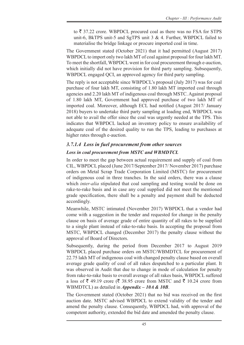to  $\bar{\xi}$  37.22 crore. WBPDCL procured coal as there was no FSA for STPS unit-6, BkTPS unit-5 and SgTPS unit 3 & 4. Further, WBPDCL failed to materialise the bridge linkage or procure imported coal in time.

The Government stated (October 2021) that it had permitted (August 2017) WBPDCL to import only two lakh MT of coal against proposal for four lakh MT. To meet the shortfall, WBPDCL went in for coal procurement through e-auction, which initially did not have provision for third party sampling. Subsequently, WBPDCL engaged QCI, an approved agency for third party sampling.

The reply is not acceptable since WBPDCL's proposal (July 2017) was for coal purchase of four lakh MT, consisting of 1.80 lakh MT imported coal through agencies and 2.20 lakh MT of indigenous coal through MSTC. Against proposal of 1.80 lakh MT, Government had approved purchase of two lakh MT of imported coal. Moreover, although ECL had notified (August 2017/ January 2018) buyers to undertake third party sampling at loading end, WBPDCL was not able to avail the offer since the coal was urgently needed at the TPS. This indicates that WBPDCL lacked an inventory policy to ensure availability of adequate coal of the desired quality to run the TPS, leading to purchases at higher rates through e-auction.

# *3.7.1.4 Loss in fuel procurement from other sources Loss in coal procurement from MSTC and WBMDTCL*

In order to meet the gap between actual requirement and supply of coal from CIL, WBPDCL placed (June 2017/September 2017/ November 2017) purchase orders on Metal Scrap Trade Corporation Limited (MSTC) for procurement of indigenous coal in three tranches. In the said orders, there was a clause which *inter-alia* stipulated that coal sampling and testing would be done on rake-to-rake basis and in case any coal supplied did not meet the mentioned grade specification, there shall be a penalty and payment shall be deducted accordingly.

Meanwhile, MSTC intimated (November 2017) WBPDCL that a vendor had come with a suggestion in the tender and requested for change in the penalty clause on basis of average grade of entire quantity of all rakes to be supplied to a single plant instead of rake-to-rake basis. In accepting the proposal from MSTC, WBPDCL changed (December 2017) the penalty clause without the approval of Board of Directors.

Subsequently, during the period from December 2017 to August 2019 WBPDCL placed purchase orders on MSTC/WBMDTCL for procurement of 22.75 lakh MT of indigenous coal with changed penalty clause based on overall average grade quality of coal of all rakes despatched to a particular plant. It was observed in Audit that due to change in mode of calculation for penalty from rake-to-rake basis to overall average of all rakes basis, WBPDCL suffered a loss of  $\bar{\xi}$  49.19 crore ( $\bar{\xi}$  38.95 crore from MSTC and  $\bar{\xi}$  10.24 crore from WBMDTCL) as detailed in *Appendix – 10A & 10B*.

The Government stated (October 2021) that no bid was received on the first auction date. MSTC advised WBPDCL to extend validity of the tender and amend the penalty clause. Consequently, WBPDCL had, with approval of the competent authority, extended the bid date and amended the penalty clause.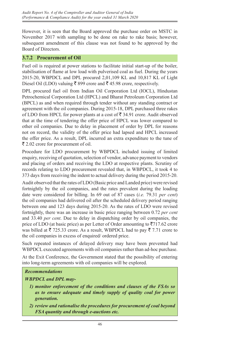However, it is seen that the Board approved the purchase order on MSTC in November 2017 with sampling to be done on rake to rake basis; however, subsequent amendment of this clause was not found to be approved by the Board of Directors.

## **3.7.2 Procurement of Oil**

Fuel oil is required at power stations to facilitate initial start-up of the boiler, stabilisation of flame at low load with pulverised coal as fuel. During the years 2015-20, WBPDCL and DPL procured 2,01,109 KL and 10,817 KL of Light Diesel Oil (LDO) valuing ₹ 899 crore and ₹ 45.98 crore, respectively.

DPL procured fuel oil from Indian Oil Corporation Ltd (IOCL), Hindustan Petrochemical Corporation Ltd (HPCL) and Bharat Petroleum Corporation Ltd (BPCL) as and when required through tender without any standing contract or agreement with the oil companies. During 2015-18, DPL purchased three rakes of LDO from HPCL for power plants at a cost of  $\bar{\mathfrak{F}}$  34.91 crore. Audit observed that at the time of tendering the offer price of HPCL was lower compared to other oil companies. Due to delay in placement of order by DPL for reasons not on record, the validity of the offer price had lapsed and HPCL increased the offer price. As a result, DPL incurred an extra expenditure to the tune of  $\bar{\xi}$  2.02 crore for procurement of oil.

Procedure for LDO procurement by WBPDCL included issuing of limited enquiry, receiving of quotation, selection of vendor, advance payment to vendors and placing of orders and receiving the LDO at respective plants. Scrutiny of records relating to LDO procurement revealed that, in WBPDCL, it took 4 to 373 days from receiving the indent to actual delivery during the period 2015-20.

Audit observed that the rates of LDO (Basic price and Landed price) were revised fortnightly by the oil companies, and the rates prevalent during the loading date were considered for billing. In 69 out of 87 cases (*i.e.* 79.31 *per cent*) the oil companies had delivered oil after the scheduled delivery period ranging between one and 123 days during 2015-20. As the rates of LDO were revised fortnightly, there was an increase in basic price ranging between 0.72 *per cent*  and 33.40 *per cent*. Due to delay in dispatching order by oil companies, the price of LDO (at basic price) as per Letter of Order amounting to  $\overline{5}717.62$  crore was billed at  $\bar{\tau}$  725.33 crore. As a result, WBPDCL had to pay  $\bar{\tau}$  7.71 crore to the oil companies in excess of enquired/ ordered price.

Such repeated instances of delayed delivery may have been prevented had WBPDCL executed agreements with oil companies rather than ad-hoc purchase.

At the Exit Conference, the Government stated that the possibility of entering into long-term agreements with oil companies will be explored.

## *Recommendations*

#### *WBPDCL and DPL may-*

- *1) monitor enforcement of the conditions and clauses of the FSAs so as to ensure adequate and timely supply of quality coal for power generation.*
- *2) review and rationalise the procedures for procurement of coal beyond FSA quantity and through e-auctions etc.*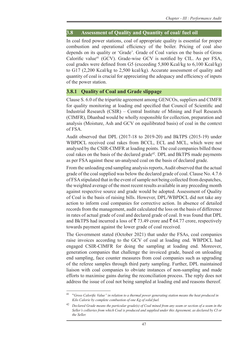## **3.8 Assessment of Quality and Quantity of coal/ fuel oil**

In coal fired power stations, coal of appropriate quality is essential for proper combustion and operational efficiency of the boiler. Pricing of coal also depends on its quality or 'Grade'. Grade of Coal varies on the basis of Gross Calorific value<sup>41</sup> (GCV). Grade-wise GCV is notified by CIL. As per FSA, coal grades were defined from G5 (exceeding 5,800 Kcal/kg to 6,100 Kcal/kg) to G17 (2,200 Kcal/kg to 2,500 kcal/kg). Accurate assessment of quality and quantity of coal is crucial for appreciating the adequacy and efficiency of inputs of the power station.

## **3.8.1 Quality of Coal and Grade slippage**

Clause S. 6.0 of the tripartite agreement among GENCOs, suppliers and CIMFR for quality monitoring at loading end specified that Council of Scientific and Industrial Research (CSIR) – Central Institute of Mining and Fuel Research (CIMFR), Dhanbad would be wholly responsible for collection, preparation and analysis (Moisture, Ash and GCV on equilibrated basis) of coal in the context of FSA.

Audit observed that DPL (2017-18 to 2019-20) and BkTPS (2015-19) under WBPDCL received coal rakes from BCCL, ECL and MCL, which were not analysed by the CSIR-CIMFR at loading points. The coal companies billed those coal rakes on the basis of the declared grade<sup>42</sup>. DPL and BkTPS made payments as per FSA against these un-analysed coal on the basis of declared grade.

From the unloading end sampling analysis reports, Audit observed that the actual grade of the coal supplied was below the declared grade of coal. Clause No. 4.7.6 of FSA stipulated that in the event of sample not being collected from despatches, the weighted average of the most recent results available in any preceding month against respective source and grade would be adopted. Assessment of Quality of Coal is the basis of raising bills. However, DPL/WBPDCL did not take any action to inform coal companies for corrective action. In absence of detailed records from the management, audit calculated the loss on the basis of difference in rates of actual grade of coal and declared grade of coal. It was found that DPL and BkTPS had incurred a loss of  $\bar{\mathfrak{F}}$  73.49 crore and  $\bar{\mathfrak{F}}$  64.77 crore, respectively towards payment against the lower grade of coal received.

The Government stated (October 2021) that under the FSAs, coal companies raise invoices according to the GCV of coal at loading end. WBPDCL had engaged CSIR-CIMFR for doing the sampling at loading end. Moreover, generation companies that challenge the invoiced grade, based on unloading end sampling, face counter measures from coal companies such as upgrading of the referee samples through third party sampling. Further, DPL maintained liaison with coal companies to obviate instances of non-sampling and made efforts to maximise gains during the reconciliation process. The reply does not address the issue of coal not being sampled at loading end and reasons thereof.

<sup>41</sup> "*Gross Calorific Value" in relation to a thermal power generating station means the heat produced in Kilo Calorie by complete combustion of one Kg of solid fuel.*

<sup>42</sup> *Declared Grade means the particular grade(s) of Coal mined from any seam or section of a seam in the Seller's collieries from which Coal is produced and supplied under this Agreement, as declared by CI or the Seller.*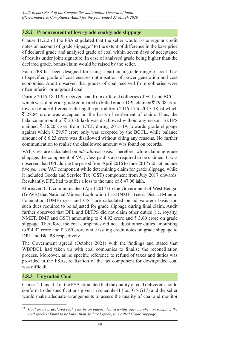## **3.8.2 Procurement of low-grade coal/grade slippage**

Clause 11.2.2 of the FSA stipulated that the seller would issue regular credit notes on account of grade slippage<sup> $43$ </sup> to the extent of difference in the base price of declared grade and analysed grade of coal within seven days of acceptance of results under joint signature. In case of analysed grade being higher than the declared grade, bonus/claim would be raised by the seller.

Each TPS has been designed for using a particular grade range of coal. Use of specified grade of coal ensures optimisation of power generation and cost economies. Audit observed that grades of coal received from collieries were often inferior or ungraded coal.

During 2016-18, DPL received coal from different collieries of ECL and BCCL, which was of inferior grade compared to billed grade. DPL claimed  $\bar{\tau}$  29.08 crore towards grade differences during the period from 2016-17 to 2017-18, of which  $\bar{\xi}$  28.84 crore was accepted on the basis of settlement of claim. Thus, the balance ammount of  $\bar{\tau}$  23.86 lakh was disallowed without any reason. BkTPS claimed  $\bar{\tau}$  36.20 crore from BCCL during 2015-19, towards grade slippage against which  $\bar{\tau}$  29.97 crore only was accepted by the BCCL, while balance amount of  $\bar{\xi}$  6.23 crore was disallowed without citing any reasons. No further communication to realise the disallowed amount was found on records.

VAT, Cess are calculated on *ad-valorem* basis. Therefore, while claiming grade slippage, the component of VAT, Cess paid is also required to be claimed. It was observed that DPL during the period from April 2016 to June 2017 did not include five *per cent* VAT component while determining claim for grade slippage, while it included Goods and Service Tax (GST) component from July 2017 onwards. Resultantly, DPL had to suffer a loss to the tune of  $\bar{z}$  47.06 lakh.

Moreover, CIL communicated (April 2017) to the Government of West Bengal (GoWB) that National Mineral Exploration Trust (NMET) cess, District Mineral Foundation (DMF) cess and GST are calculated on ad valorem basis and such dues required to be adjusted for grade slippage during final claim. Audit further observed that DPL and BkTPS did not claim other duties (i.e. royalty, NMET, DMF and GST) amounting to  $\bar{\xi}$  4.92 crore and  $\bar{\xi}$  3.60 crore on grade slippage. Therefore, the coal companies did not adjust other duties amounting to  $\bar{\xi}$  4.92 crore and  $\bar{\xi}$  3.60 crore while issuing credit notes on grade slippage to DPL and BkTPS respectively.

The Government agreed (October 2021) with the findings and stated that WBPDCL had taken up with coal companies to finalise the reconciliation process. Moreover, as no specific reference to refund of taxes and duties was provided in the FSAs, realisation of the tax component for downgraded coal was difficult.

## **3.8.3 Ungraded Coal**

Clause 4.1 and 4.2 of the FSA stipulated that the quality of coal delivered should conform to the specifications given in schedule-II (i.e., G5-G17) and the seller would make adequate arrangements to assess the quality of coal and monitor

<sup>43</sup> *Coal grade is declared each year by an independent scientific agency, when on sampling the coal grade is found to be lower than declared grade, it is called Grade Slippage.*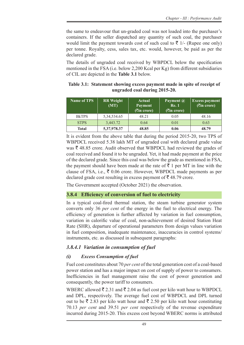the same to endeavour that un-graded coal was not loaded into the purchaser's containers. If the seller dispatched any quantity of such coal, the purchaser would limit the payment towards cost of such coal to  $\bar{\tau}$  1/- (Rupee one only) per tonne. Royalty, cess, sales tax, etc. would, however, be paid as per the declared grade.

The details of ungraded coal received by WBPDCL below the specification mentioned in the FSA (i.e. below 2,200 Kcal per Kg) from different subsidiaries of CIL are depicted in the **Table 3.1** below.

**Table 3.1: Statement showing excess payment made in spite of receipt of ungraded coal during 2015-20.**

| <b>Name of TPS</b> | <b>RR</b> Weight<br>(MT) | <b>Actual</b><br><b>Payment</b><br>$($ <b>₹in</b> crore) | Payment $\omega$<br><b>Re. 1</b><br><b>(₹in crore)</b> | <b>Excess payment</b><br>$($ <b>₹in</b> crore) |
|--------------------|--------------------------|----------------------------------------------------------|--------------------------------------------------------|------------------------------------------------|
| <b>B</b> kTPS      | 5, 34, 534. 65           | 48.21                                                    | 0.05                                                   | 48.16                                          |
| <b>STPS</b>        | 3,443.72                 | 0.64                                                     | 0.01                                                   | 0.63                                           |
| Total              | 5,37,978.37              | 48.85                                                    | 0.06                                                   | 48.79                                          |

It is evident from the above table that during the period 2015-20, two TPS of WBPDCL received 5.38 lakh MT of ungraded coal with declared grade value was  $\bar{\tau}$  48.85 crore. Audit observed that WBPDCL had reviewed the grades of coal received and found it to be ungraded. Yet, it had made payment at the price of the declared grade. Since this coal was below the grade as mentioned in FSA, the payment should have been made at the rate of  $\bar{\tau}$  1 per MT in line with the clause of FSA, i.e.,  $\bar{\xi}$  0.06 crore. However, WBPDCL made payments as per declared grade cost resulting in excess payment of  $\bar{\tau}$  48.79 crore.

The Government accepted (October 2021) the observation.

## **3.8.4 Efficiency of conversion of fuel to electricity**

In a typical coal-fired thermal station, the steam turbine generator system converts only 36 *per cent* of the energy in the fuel to electrical energy. The efficiency of generation is further affected by variation in fuel consumption, variation in calorific value of coal, non-achievement of desired Station Heat Rate (SHR), departure of operational parameters from design values variation in fuel composition, inadequate maintenance, inaccuracies in control systems/ instruments, etc. as discussed in subsequent paragraphs:

## *3.8.4.1 Variation in consumption of fuel*

## *(i) Excess Consumption of fuel*

Fuel cost constitutes about 70 *per cent* of the total generation cost of a coal-based power station and has a major impact on cost of supply of power to consumers. Inefficiencies in fuel management raise the cost of power generation and consequently, the power tariff to consumers.

WBERC allowed  $\bar{\xi}$  2.31 and  $\bar{\xi}$  2.04 as fuel cost per kilo watt hour to WBPDCL and DPL, respectively. The average fuel cost of WBPDCL and DPL turned out to be  $\bar{\xi}$  2.83 per kilo watt hour and  $\bar{\xi}$  2.50 per kilo watt hour constituting 70.13 *per cent* and 39.51 *per cent* respectively of the revenue expenditure incurred during 2015-20. This excess cost beyond WBERC norms is attributed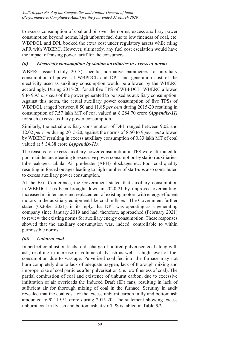to excess consumption of coal and oil over the norms, excess auxiliary power consumption beyond norms, high unburnt fuel due to low fineness of coal, etc. WBPDCL and DPL booked the extra cost under regulatory assets while filing APR with WBERC. However, ultimately, any fuel cost escalation would have the impact of raising power tariff for the consumers.

## *(ii) Electricity consumption by station auxiliaries in excess of norms*

WBERC issued (July 2013) specific normative parameters for auxiliary consumption of power at WBPDCL and DPL and generation cost of the electricity used as auxiliary consumption would be allowed by the WBERC accordingly. During 2015-20, for all five TPS of WBPDCL, WBERC allowed 9 to 9.95 *per cent* of the power generated to be used as auxiliary consumption. Against this norm, the actual auxiliary power consumption of five TPSs of WBPDCL ranged between 8.50 and 11.85 *per cent* during 2015-20 resulting in consumption of 7.57 lakh MT of coal valued at  $\bar{\tau}$  284.70 crore *(Appendix-11)* for such excess auxiliary power consumption.

Similarly, the actual auxiliary consumption of DPL ranged between 9.02 and 12.02 *per cent* during 2015-20, against the norms of 8.50 to 9 *per cent* allowed by WBERC resulting in excess auxiliary consumption of 0.33 lakh MT of coal valued at  $\bar{\tau}$  34.38 crore *(Appendix-11)*.

The reasons for excess auxiliary power consumption in TPS were attributed to poor maintenance leading to excessive power consumption by station auxiliaries, tube leakages, tabular Air pre-heater (APH) blockages etc. Poor coal quality resulting in forced outages leading to high number of start-ups also contributed to excess auxiliary power consumption.

At the Exit Conference, the Government stated that auxiliary consumption in WBPDCL has been brought down in 2020-21 by improved overhauling, increased maintenance and replacement of existing motors with energy efficient motors in the auxiliary equipment like coal mills *etc*. The Government further stated (October 2021), in its reply, that DPL was operating as a generating company since January 2019 and had, therefore, approached (February 2021) to review the existing norms for auxiliary energy consumption. These responses showed that the auxiliary consumption was, indeed, controllable to within permissible norms.

## *(iii) Unburnt coal*

Imperfect combustion leads to discharge of unfired pulverised coal along with ash, resulting in increase in volume of fly ash as well as high level of fuel consumption due to wastage. Pulverised coal fed into the furnace may not burn completely due to lack of adequate oxygen, lack of thorough mixing and improper size of coal particles after pulverisation (*i.e.* low fineness of coal). The partial combustion of coal and existence of unburnt carbon, due to excessive infiltration of air overloads the Induced Draft (ID) fans, resulting in lack of sufficient air for thorough mixing of coal in the furnace. Scrutiny in audit revealed that the coal cost for the excess unburnt carbon in fly and bottom ash amounted to  $\bar{\tau}$  119.51 crore during 2015-20. The statement showing excess unburnt coal in fly ash and bottom ash at six TPS is tabled in **Table 3.2**.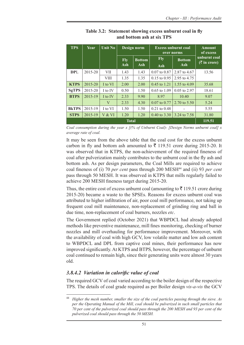| <b>TPS</b>   | Year        | <b>Unit No</b> | Design norm |               | <b>Excess unburnt coal</b><br>over norms | <b>Amount</b><br>of excess |                                 |
|--------------|-------------|----------------|-------------|---------------|------------------------------------------|----------------------------|---------------------------------|
|              |             |                | <b>Fly</b>  | <b>Bottom</b> | <b>Fly</b>                               | <b>Bottom</b>              | unburnt coal<br>$($ ₹ in crore) |
|              |             |                | Ash         | Ash           | Ash                                      | Ash                        |                                 |
| DPL          | $2015 - 20$ | VII            | 1.43        | 1.43          | $0.07$ to $0.87$                         | 2.87 to 4.67               | 13.56                           |
|              |             | VIII           | 1.35        | 1.35          | $0.15$ to $0.95$                         | 2.95 to 4.75               |                                 |
| <b>KTPS</b>  | 2015-20     | I to VI        | 2.00        | 2.00          | 0.45 to 1.21                             | 1.55 to $4.09$             | 35.68                           |
| <b>SgTPS</b> | 2015-20     | I to IV        | 0.50        | 1.50          | $0.65$ to $1.09$                         | $0.05$ to 2.97             | 18.61                           |
| <b>BTPS</b>  | $2015 - 19$ | I to IV        | 2.33        | 9.90          | 8.97                                     | 10.40                      | 9.07                            |
|              |             | V              | 2.33        | 4.30          | $0.07$ to $0.77$                         | 2.70 to 5.50               | 5.24                            |
| <b>BKTPS</b> | 2015-19     | I to VI        | 1.50        | 1.50          | $0.21$ to $0.48$                         |                            | 5.55                            |
| <b>STPS</b>  | 2015-19     | V & VI         | 1.20        | 1.20          | $0.40 \text{ to } 3.30$                  | 3.24 to 7.58               | 31.80                           |
|              | 119.51      |                |             |               |                                          |                            |                                 |

| Table 3.2: Statement showing excess unburnt coal in fly |
|---------------------------------------------------------|
| and bottom ash at six TPS                               |

*Coal consumption during the year x [(% of Unburnt Coal)- [Design Norms unburnt coal] x average rate of coal.*

It may be seen from the above table that the coal cost for the excess unburnt carbon in fly and bottom ash amounted to  $\bar{\tau}$  119.51 crore during 2015-20. It was observed that in KTPS, the non-achievement of the required fineness of coal after pulverization mainly contributes to the unburnt coal in the fly ash and bottom ash. As per design parameters, the Coal Mills are required to achieve coal fineness of (i) 70 *per cent* pass through 200 MESH44 and (ii) 93 *per cent* pass through 50 MESH. It was observed in KTPS that mills regularly failed to achieve 200 MESH fineness target during 2015-20.

Thus, the entire cost of excess unburnt coal (amounting to  $\bar{\tau}$  119.51 crore during 2015-20) became a waste to the SPSEs. Reasons for excess unburnt coal was attributed to higher infiltration of air, poor coal mill performance, not taking up frequent coal mill maintenance, non-replacement of grinding ring and ball in due time, non-replacement of coal burners, nozzles *etc*.

The Government replied (October 2021) that WBPDCL had already adopted methods like preventive maintenance, mill fines monitoring, checking of burner nozzles and mill overhauling for performance improvement. Moreover, with the availability of coal with high GCV, low volatile matter and low ash content to WBPDCL and DPL from captive coal mines, their performance has now improved significantly. At KTPS and BTPS, however, the percentage of unburnt coal continued to remain high, since their generating units were almost 30 years old.

## *3.8.4.2 Variation in calorific value of coal*

The required GCV of coal varied according to the boiler design of the respective TPS. The details of coal grade required as per Boiler design *vis-a-vis* the GCV

<sup>44</sup> *Higher the mesh number, smaller the size of the coal particles passing through the sieve. As per the Operating Manual of the Mill, coal should be pulverized in such small particles that 70 per cent of the pulverized coal should pass through the 200 MESH and 93 per cent of the pulverized coal should pass through the 50 MESH.*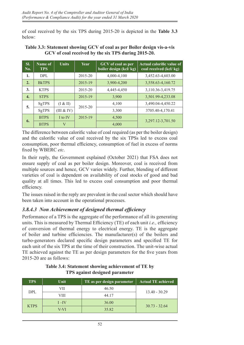of coal received by the six TPS during 2015-20 is depicted in the **Table 3.3** below:

| SI.<br>No.       | Name of<br><b>TPS</b> | <b>Units</b> | Year        | GCV of coal as per<br>boiler design (kcl/kg) | Actual calorific value of<br>coal received (kcl/kg) |
|------------------|-----------------------|--------------|-------------|----------------------------------------------|-----------------------------------------------------|
| 1.               | DPL                   |              | 2015-20     | 4,000-4,100                                  | 3,452.63-4,603.00                                   |
| 2.               | <b>BkTPS</b>          |              | 2015-19     | 3,900-4,200                                  | 3,558.63-4,160.72                                   |
| 3.               | <b>KTPS</b>           |              | 2015-20     | 4,445-4,450                                  | 3,110.36-3,419.75                                   |
| $\overline{4}$ . | <b>STPS</b>           |              | 2015-19     | 3,900                                        | 3,501.99-4,233.08                                   |
| 5.               | SgTPS                 | (I & H)      | $2015 - 20$ | 4,100                                        | 3,490.04-4,450.22                                   |
|                  | SgTPS                 | (III & IV)   |             | 3,300                                        | 3705.40-4,170.41                                    |
| 6.               | <b>BTPS</b>           | I to IV      | 2015-19     | 4,500                                        | 3,297.12-3,701.50                                   |
|                  | <b>BTPS</b>           | $\rm V$      |             | 4,000                                        |                                                     |

#### **Table 3.3: Statement showing GCV of coal as per Boiler design vis-a-vis GCV of coal received by the six TPS during 2015-20.**

The difference between calorific value of coal required (as per the boiler design) and the calorific value of coal received by the six TPSs led to excess coal consumption, poor thermal efficiency, consumption of fuel in excess of norms fixed by WBERC *etc*.

In their reply, the Government explained (October 2021) that FSA does not ensure supply of coal as per boiler design. Moreover, coal is received from multiple sources and hence, GCV varies widely. Further, blending of different varieties of coal is dependent on availability of coal stocks of good and bad quality at all times. This led to excess coal consumption and poor thermal efficiency.

The issues raised in the reply are prevalent in the coal sector which should have been taken into account in the operational processes.

## *3.8.4.3 Non Achievement of designed thermal efficiency*

Performance of a TPS is the aggregate of the performance of all its generating units. This is measured by Thermal Efficiency (TE) of each unit *i.e.,* efficiency of conversion of thermal energy to electrical energy. TE is the aggregate of boiler and turbine efficiencies. The manufacturer(s) of the boilers and turbo-generators declared specific design parameters and specified TE for each unit of the six TPS at the time of their construction. The unit-wise actual TE achieved against the TE as per design parameters for the five years from 2015-20 are as follows:

| <b>TPS</b>  | Unit     | TE as per design parameter | <b>Actual TE achieved</b> |
|-------------|----------|----------------------------|---------------------------|
| DPL         | VII      | 46.50                      |                           |
|             | VIII     | 44.17                      | $13.40 - 30.29$           |
| <b>KTPS</b> | $I - IV$ | 36.00                      |                           |
|             | V-VI     | 35.82                      | $30.73 - 32.64$           |

**Table 3.4: Statement showing achievement of TE by TPS against designed parameter**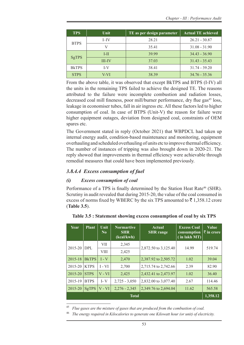| <b>TPS</b>    | Unit          | TE as per design parameter | <b>Actual TE achieved</b> |
|---------------|---------------|----------------------------|---------------------------|
| <b>BTPS</b>   | $I$ -IV       | 28.21                      | $26.21 - 30.87$           |
|               |               | 35.41                      | $31.08 - 31.90$           |
|               | $I-II$        | 39.99                      | $34.43 - 36.90$           |
| <b>SgTPS</b>  | <b>III-IV</b> | 37.03                      | $31.43 - 35.43$           |
| <b>B</b> kTPS | I-V           | 38.41                      | $31.74 - 39.20$           |
| <b>STPS</b>   | V-VI          | 38.39                      | $34.76 - 35.36$           |

From the above table, it was observed that except BkTPS and BTPS (I-IV) all the units in the remaining TPS failed to achieve the designed TE. The reasons attributed to the failure were incomplete combustion and radiation losses, decreased coal mill fineness, poor mill/burner performance, dry flue gas<sup>45</sup> loss, leakage in economiser tubes, fall in air ingress etc. All these factors led to higher consumption of coal. In case of BTPS (Unit-V) the reason for failure were higher equipment outages, deviation from designed coal, constraints of OEM spares etc.

The Government stated in reply (October 2021) that WBPDCL had taken up internal energy audit, condition-based maintenance and monitoring, equipment overhauling and scheduled overhauling of units etc to improve thermal efficiency. The number of instances of tripping was also brought down in 2020-21. The reply showed that improvements in thermal efficiency were achievable through remedial measures that could have been implemented previously.

## *3.8.4.4 Excess consumption of fuel*

## *(i) Excess consumption of coal*

Performance of a TPS is finally determined by the Station Heat Rate<sup>46</sup> (SHR). Scrutiny in audit revealed that during 2015-20, the value of the coal consumed in excess of norms fixed by WBERC by the six TPS amounted to  $\bar{\tau}$  1,358.12 crore (**Table 3.5**).

| Year                     | <b>Plant</b> | Unit<br>N <sub>0</sub> | <b>Normartive</b><br><b>SHR</b><br>(kcal/kwh) | Actual<br><b>SHR</b> range | <b>Excess Coal</b><br>consumption<br>(in lakh MT) | <b>Value</b><br><b>₹</b> in crore |  |  |
|--------------------------|--------------|------------------------|-----------------------------------------------|----------------------------|---------------------------------------------------|-----------------------------------|--|--|
| 2015-20                  | DPL          | <b>VII</b>             | 2,345                                         | 2,872.50 to 3,125.40       | 14.99                                             | 519.74                            |  |  |
|                          |              | VIII                   | 2,425                                         |                            |                                                   |                                   |  |  |
| 2015-18                  | <b>BkTPS</b> | $I - V$                | 2,470                                         | 2,387.92 to 2,505.72       | 1.02                                              | 39.04                             |  |  |
| 2015-20                  | <b>KTPS</b>  | $I - VI$               | 2,700                                         | 2,715.74 to 2,742.66       | 2.39                                              | 82.90                             |  |  |
| 2015-20                  | <b>STPS</b>  | $V - VI$               | 2,425                                         | 2,432.41 to 2,473.97       | 1.02                                              | 36.40                             |  |  |
| 2015-19                  | <b>BTPS</b>  | $I - V$                | $2,725 - 3,050$                               | 2,832.00 to 3,077.40       | 2.67                                              | 114.46                            |  |  |
| 2015-20                  | SgTPS        | $V - VI$               | $2,276 - 2,345$                               | 2,349.76 to 2,694.04       | 11.62                                             | 565.58                            |  |  |
| 1,358.12<br><b>Total</b> |              |                        |                                               |                            |                                                   |                                   |  |  |

#### **Table 3.5 : Statement showing excess consumption of coal by six TPS**

<sup>45</sup> *Flue gases are the mixture of gases that are produced from the combustion of coal.*

<sup>46</sup> *The energy required in Kilocalories to generate one Kilowatt hour (or unit) of electricity.*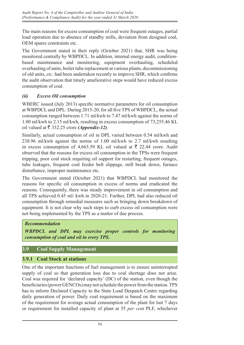The main reasons for excess consumption of coal were frequent outages, partial load operation due to absence of standby mills, deviation from designed coal, OEM spares constraints etc.

The Government stated in their reply (October 2021) that, SHR was being monitored centrally by WBPDCL. In addition, internal energy audit, conditionbased maintenance and monitoring, equipment overhauling, scheduled overhauling of units, boiler tube replacement at various plants, decommissioning of old units, *etc.* had been undertaken recently to improve SHR, which confirms the audit observation that timely ameliorative steps would have reduced excess consumption of coal.

## *(ii) Excess Oil consumption*

WBERC issued (July 2013) specific normative parameters for oil consumption at WBPDCL and DPL. During 2015-20, for all five TPS of WBPDCL, the actual consumption ranged between 1.71 ml/kwh to 7.47 ml/kwh against the norms of 1.00 ml/kwh to 2.15 ml/kwh, resulting in excess consumption of 73,255.46 KL oil valued at  $\bar{\tau}$  332.25 crore *(Appendix-12)*.

Similarly, actual consumption of oil in DPL varied between 0.54 ml/kwh and 238.96 ml/kwh against the norms of 1.00 ml/kwh to 2.7 ml/kwh resulting in excess consumption of 4,663.59 KL oil valued at  $\bar{\tau}$  22.44 crore. Audit observed that the reasons for excess oil consumption in the TPSs were frequent tripping, poor coal stock requiring oil support for restarting, frequent outages, tube leakages, frequent coal feeder belt slippage, mill break down, furnace disturbance, improper maintenance etc.

The Government stated (October 2021) that WBPDCL had monitored the reasons for specific oil consumption in excess of norms and eradicated the reasons. Consequently, there was steady improvement in oil consumption and all TPS achieved 0.45 ml/ kwh in 2020-21. Further, DPL had also reduced oil consumption through remedial measures such as bringing down breakdown of equipment. It is not clear why such steps to curb excess oil consumption were not being implemented by the TPS as a matter of due process.

## *Recommendation*

*WBPDCL and DPL may exercise proper controls for monitoring consumption of coal and oil in every TPS.*

## **3.9 Coal Supply Management**

## **3.9.1 Coal Stock at stations**

One of the important functions of fuel management is to ensure uninterrupted supply of coal so that generation loss due to coal shortage does not arise. Coal was required for 'declared capacity' (DC) of the station, even though the beneficiaries (power GENCOs) may not schedule the power from the station. TPS has to inform Declared Capacity to the State Load Despatch Centre regarding daily generation of power. Daily coal requirement is based on the maximum of the requirement for average actual consumption of the plant for last 7 days or requirement for installed capacity of plant at 55 *per cent* PLF, whichever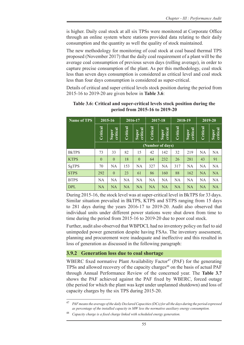is higher. Daily coal stock at all six TPSs were monitored at Corporate Office through an online system where stations provided data relating to their daily consumption and the quantity as well the quality of stock maintained.

The new methodology for monitoring of coal stock at coal based thermal TPS proposed (November 2017) that the daily coal requirement of a plant will be the average coal consumption of previous seven days (rolling average), in order to capture precise consumption of the plant. As per this methodology, coal stock less than seven days consumption is considered as critical level and coal stock less than four days consumption is considered as super-critical.

Details of critical and super critical levels stock position during the period from 2015-16 to 2019-20 are given below in **Table 3.6**:

| <b>Name of TPS</b> | 2015-16      |                   |           | 2016-17           |                 | 2017-18           |                 | 2018-19                  | 2019-20   |                   |
|--------------------|--------------|-------------------|-----------|-------------------|-----------------|-------------------|-----------------|--------------------------|-----------|-------------------|
|                    | Critical     | critical<br>Super | Critical  | critical<br>Super | <b>Critical</b> | critical<br>Super | <b>Critical</b> | critical<br><b>Super</b> | Critical  | critical<br>Super |
|                    |              |                   |           |                   |                 | (Number of days)  |                 |                          |           |                   |
| <b>BkTPS</b>       | 73           | 33                | 82        | 15                | 42              | 142               | 32              | 219                      | <b>NA</b> | <b>NA</b>         |
| <b>KTPS</b>        | $\mathbf{0}$ | $\mathbf{0}$      | 18        | $\mathbf{0}$      | 64              | 232               | 26              | 281                      | 43        | 91                |
| SgTPS              | 70           | <b>NA</b>         | 153       | NA                | 327             | <b>NA</b>         | 317             | <b>NA</b>                | NA        | NA                |
| <b>STPS</b>        | 292          | $\theta$          | 23        | 61                | 86              | 160               | 88              | 162                      | <b>NA</b> | NA                |
| <b>BTPS</b>        | NA           | <b>NA</b>         | NA        | NA                | <b>NA</b>       | <b>NA</b>         | NA              | <b>NA</b>                | NA        | NA                |
| DPL                | <b>NA</b>    | <b>NA</b>         | <b>NA</b> | <b>NA</b>         | <b>NA</b>       | <b>NA</b>         | <b>NA</b>       | <b>NA</b>                | <b>NA</b> | <b>NA</b>         |

**Table 3.6: Critical and super-critical levels stock position during the period from 2015-16 to 2019-20**

During 2015-16, the stock level was at super-critical level in BkTPS for 33 days. Similar situation prevailed in BkTPS, KTPS and STPS ranging from 15 days to 281 days during the years 2016-17 to 2019-20. Audit also observed that individual units under different power stations were shut down from time to time during the period from 2015-16 to 2019-20 due to poor coal stock.

Further, audit also observed that WBPDCL had no inventory policy on fuel to aid unimpeded power generation despite having FSAs. The inventory assessment, planning and procurement were inadequate and ineffective and this resulted in loss of generation as discussed in the following paragraph:

## **3.9.2 Generation loss due to coal shortage**

WBERC fixed normative Plant Availability Factor<sup>47</sup> (PAF) for the generating TPSs and allowed recovery of the capacity charges<sup>48</sup> on the basis of actual PAF through Annual Performance Review of the concerned year. The **Table 3.7** shows the PAF achieved against the PAF fixed by WBERC, forced outage (the period for which the plant was kept under unplanned shutdown) and loss of capacity charges by the six TPS during 2015-20.

<sup>47</sup> *PAF means the average of the daily Declared Capacities (DCs) for all the days during the period expressed as percentage of the installed capacity in MW less the normative auxiliary energy consumption.*

<sup>48</sup> *Capacity charge is a fixed charge linked with scheduled energy generation.*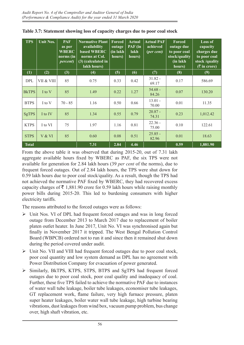| <b>TPS</b>   | <b>Unit Nos.</b> | <b>PAF</b><br>as per<br><b>WBERC</b><br>norms (in<br><i>percent</i> ) | <b>Normative Plant</b><br>availability<br>based WBERC<br>norms at Col.<br>(3) (calculated in<br>lakh hours) | <b>Forced</b><br>outage<br>(in lakh<br>hours) | Actual<br>PAF (in<br>lakh<br>hours) | <b>Actual PAF</b><br>achieved<br>(per cent) | Forced<br>outage due<br>to poor coal<br>stock/quality<br>(in lakh<br>hours) | Loss of<br>capacity<br>charges due<br>to poor coal<br>stock/quality<br>$($ ₹ in crore) |
|--------------|------------------|-----------------------------------------------------------------------|-------------------------------------------------------------------------------------------------------------|-----------------------------------------------|-------------------------------------|---------------------------------------------|-----------------------------------------------------------------------------|----------------------------------------------------------------------------------------|
| (1)          | (2)              | (3)                                                                   | (4)                                                                                                         | (5)                                           | (6)                                 | (7)                                         | (8)                                                                         | (9)                                                                                    |
| <b>DPL</b>   | VII & VIII       | 85                                                                    | 0.75                                                                                                        | 0.33                                          | 0.42                                | $31.82 -$<br>69.17                          | 0.17                                                                        | 586.69                                                                                 |
| <b>BkTPS</b> | I to V           | 85                                                                    | 1.49                                                                                                        | 0.22                                          | 1.27                                | $54.68 -$<br>84.26                          | 0.07                                                                        | 130.20                                                                                 |
| <b>BTPS</b>  | I to V           | $70 - 85$                                                             | 1.16                                                                                                        | 0.50                                          | 0.66                                | $13.01 -$<br>70.00                          | 0.01                                                                        | 11.35                                                                                  |
| <b>SgTPS</b> | I to IV          | 85                                                                    | 1.34                                                                                                        | 0.55                                          | 0.79                                | $20.87 -$<br>74.31                          | 0.23                                                                        | 1,012.42                                                                               |
| <b>KTPS</b>  | I to VI          | 75                                                                    | 1.97                                                                                                        | 1.16                                          | 0.81                                | $22.36 -$<br>75.00                          | 0.10                                                                        | 122.61                                                                                 |
| <b>STPS</b>  | V & VI           | 85                                                                    | 0.60                                                                                                        | 0.08                                          | 0.51                                | $25.85 -$<br>82.96                          | 0.01                                                                        | 18.63                                                                                  |
| <b>Total</b> |                  |                                                                       | 7.31                                                                                                        | 2.84                                          | 4.46                                |                                             | 0.59                                                                        | 1,881.90                                                                               |

**Table 3.7: Statement showing loss of capacity charges due to poor coal stock**

From the above table it was observed that during 2015-20, out of 7.31 lakh aggregate available hours fixed by WBERC as PAF, the six TPS were not available for generation for 2.84 lakh hours (39 *per cent* of the norms), due to frequent forced outages. Out of 2.84 lakh hours, the TPS were shut down for 0.59 lakh hours due to poor coal stock/quality. As a result, though the TPS had not achieved the normative PAF fixed by WBERC, they had recovered excess capacity charges of  $\bar{\tau}$  1,881.90 crore for 0.59 lakh hours while raising monthly power bills during 2015-20. This led to burdening consumers with higher electricity tariffs.

The reasons attributed to the forced outages were as follows:

- Unit Nos. VI of DPL had frequent forced outages and was in long forced outage from December 2013 to March 2017 due to replacement of boiler platen outlet heater. In June 2017, Unit No. VI was synchronised again but finally in November 2017 it tripped. The West Bengal Pollution Control Board (WBPCB) ordered not to run it and since then it remained shut down during the period covered under audit.
- $\triangleright$  Unit No. VII and VIII had frequent forced outages due to poor coal stock, poor coal quantity and low system demand as DPL has no agreement with Power Distribution Company for evacuation of power generated.
- Similarly, BkTPS, KTPS, STPS, BTPS and SgTPS had frequent forced outages due to poor coal stock, poor coal quality and inadequacy of coal. Further, these five TPS failed to achieve the normative PAF due to instances of water wall tube leakage, boiler tube leakages, economiser tube leakages, GT replacement work, flame failure, very high furnace pressure, platen super heater leakages, boiler water wall tube leakage, high turbine bearing vibrations, dust leakages from wind box, vacuum pump problem, bus change over, high shaft vibration, etc.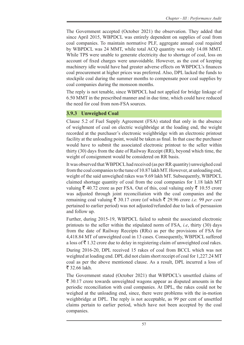The Government accepted (October 2021) the observation. They added that since April 2015, WBPDCL was entirely dependent on supplies of coal from coal companies. To maintain normative PLF, aggregate annual coal required by WBPDCL was 24 MMT, while total ACQ quantity was only 14.08 MMT. While TPS were unable to generate electricity due to shortage of coal, loss on account of fixed charges were unavoidable. However, as the cost of keeping machinery idle would have had greater adverse effects on WBPDCL's finances coal procurement at higher prices was preferred. Also, DPL lacked the funds to stockpile coal during the summer months to compensate poor coal supplies by coal companies during the monsoon months.

The reply is not tenable, since WBPDCL had not applied for bridge linkage of 6.50 MMT in the prescribed manner and in due time, which could have reduced the need for coal from non-FSA sources.

## **3.9.3 Unweighed Coal**

Clause 5.2 of Fuel Supply Agreement (FSA) stated that only in the absence of weighment of coal on electric weighbridge at the loading end, the weight recorded at the purchaser's electronic weighbridge with an electronic printout facility at the unloading point, would be taken as final. In that case the purchaser would have to submit the associated electronic printout to the seller within thirty (30) days from the date of Railway Receipt (RR), beyond which time, the weight of consignment would be considered on RR basis.

It was observed that WBPDCL had received (as per RR quantity) unweighed coal from the coal companies to the tune of 10.87 lakhMT. However, at unloading end, weight of the said unweighed rakes was 9.69 lakh MT. Subsequently, WBPDCL claimed shortage quantity of coal from the coal companies for 1.18 lakh MT valuing  $\bar{\xi}$  40.72 crore as per FSA. Out of this, coal valuing only  $\bar{\xi}$  10.55 crore was adjusted through joint reconciliation with the coal companies and the remaining coal valuing  $\bar{\xi}$  30.17 crore (of which  $\bar{\xi}$  29.96 crore *i.e.* 99 *per cent* pertained to earlier period) was not adjusted/refunded due to lack of persuasion and follow up.

Further, during 2015-19, WBPDCL failed to submit the associated electronic printouts to the seller within the stipulated norm of FSA, *i.e*, thirty (30) days from the date of Railway Receipts (RRs) as per the provisions of FSA for 4,418.84 MT of unweighted coal in 13 cases. Consequently, WBPDCL suffered a loss of  $\bar{\tau}$  1.32 crore due to delay in registering claim of unweighted coal rakes.

During 2016-20, DPL received 15 rakes of coal from BCCL which was not weighted at loading end. DPL did not claim short receipt of coal for 1,227.24 MT coal as per the above mentioned clause. As a result, DPL incurred a loss of  $\bar{5}$  32.66 lakh.

The Government stated (October 2021) that WBPDCL's unsettled claims of  $\bar{\xi}$  30.17 crore towards unweighted wagons appear as disputed amounts in the periodic reconciliation with coal companies. At DPL, the rakes could not be weighed at the unloading end, since, there were problems with the in-motion weighbridge at DPL. The reply is not acceptable, as 99 per cent of unsettled claims pertain to earlier period, which have not been accepted by the coal companies.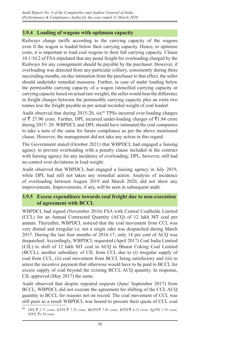## **3.9.4 Loading of wagons with optimum capacity**

Railways charge tariffs according to the carrying capacity of the wagons even if the wagon is loaded below their carrying capacity. Hence, to optimise costs, it is important to load coal wagons to their full carrying capacity. Clause 10.1/10.2 of FSA stipulated that any penal freight for overloading charged by the Railways for any consignment should be payable by the purchaser. However, if overloading was detected from any particular colliery, consistently during three succeeding months, on due intimation from the purchaser to that effect, the seller should undertake remedial measures. Further, in case of under loading below the permissible carrying capacity of a wagon (stencilled carrying capacity or carrying capacity based on actual tare weight), the seller would bear the difference in freight charges between the permissible carrying capacity plus an extra two tonnes less the freight payable as per actual recorded weight of coal loaded.

Audit observed that during  $2015-20$ ,  $\text{six}^{49}$  TPSs incurred over-loading charges of  $\bar{\xi}$  27.96 crore. Further, DPL incurred under-loading charges of  $\bar{\xi}$ 1.84 crore during 2017- 20. WBPDCL and DPL should have intimated the coal companies to take a note of the same for future compliance as per the above mentioned clause. However, the management did not take any action in this regard.

The Government stated (October 2021) that WBPDCL had engaged a liaising agency to prevent overloading with a penalty clause included in the contract with liaising agency for any incidence of overloading; DPL, however, still had no control over deviations in load weight.

Audit observed that WBPDCL had engaged a liaising agency in July 2019, while DPL had still not taken any remedial action. Analysis of incidence of overloading between August 2019 and March 2020, did not show any improvements. Improvements, if any, will be seen in subsequent audit.

#### **3.9.5 Excess expenditure towards coal freight due to non-execution of agreement with BCCL**

WBPDCL had signed (November 2016) FSA with Central Coalfields Limited (CCL) for an Annual Contracted Quantity (ACQ) of 12 lakh MT coal per annum. Thereafter, WBPDCL noticed that the coal movement from CCL was very dismal and irregular i.e. not a single rake was despatched during March 2017. During the last four months of 2016-17, only 18 per cent of ACQ was despatched. Accordingly, WBPDCL requested (April 2017) Coal India Limited (CIL) to shift of 12 lakh MT coal in ACQ to Bharat Coking Coal Limited (BCCL), another subsidiary of CIL from CCL due to (i) irregular supply of coal from CCL, (ii) coal movement from BCCL being satisfactory and (iii) to arrest the incentive payment that otherwise would have to be paid to BCCL for excess supply of coal beyond the existing BCCL ACQ quantity. In response, CIL approved (May 2017) the same.

Audit observed that despite repeated requests (June/ September 2017) from BCCL, WBPDCL did not execute the agreement for shifting of the CCL ACQ quantity to BCCL for reasons not on record. The coal movement of CCL was still poor as a result WBPDCL was bound to procure their quota of CCL coal

<sup>49</sup> *DPL:*` *2.75 crore, KTPS* ` *7.78 crore, BkTPS:*` *7.94 crore, BTPS:*` *6.13 crore, SgTPS 1.78 crore, STPS:* `*1.58 crore*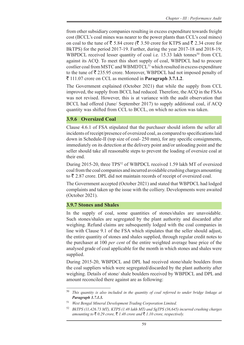from other subsidiary companies resulting in excess expenditure towards freight cost (BCCL's coal mines was nearer to the power plants than CCL's coal mines) on coal to the tune of  $\bar{\xi}$  5.84 crore ( $\bar{\xi}$  3.50 crore for KTPS and  $\bar{\xi}$  2.34 crore for BkTPS) for the period 2017-19. Further, during the year 2017-18 and 2018-19, WBPDCL received lesser quantity of coal i.e.  $15.33$  lakh tonnes<sup>50</sup> from CCL against its ACQ. To meet this short supply of coal, WBPDCL had to procure costlier coal from MSTC and WBMDTCL<sup>51</sup> which resulted in excess expenditure to the tune of  $\bar{\mathfrak{g}}$  235.95 crore. Moreover, WBPDCL had not imposed penalty of ` 111.07 crore on CCL as mentioned in **Paragraph 3.7.1.2**.

The Government explained (October 2021) that while the supply from CCL improved, the supply from BCCL had reduced. Therefore, the ACQ in the FSAs was not revised. However, this is at variance with the audit observation that BCCL had offered (June/ September 2017) to supply additional coal, if ACQ quantity was shifted from CCL to BCCL, on which no action was taken.

## **3.9.6 Oversized Coal**

Clause 4.6.1 of FSA stipulated that the purchaser should inform the seller all incidents of receipt/presence of oversized coal, as compared to specifications laid down in Schedule-II (top size of coal- 250 mm), for any specific consignments, immediately on its detection at the delivery point and/or unloading point and the seller should take all reasonable steps to prevent the loading of oversize coal at their end.

During 2015-20, three TPS<sup>52</sup> of WBPDCL received 1.59 lakh MT of oversized coal from the coal companies and incurred avoidable crushing charges amounting to  $\bar{\xi}$  2.87 crore. DPL did not maintain records of receipt of oversized coal.

The Government accepted (October 2021) and stated that WBPDCL had lodged complaints and taken up the issue with the colliery. Developments were awaited (October 2021).

## **3.9.7 Stones and Shales**

In the supply of coal, some quantities of stones/shales are unavoidable. Such stones/shales are segregated by the plant authority and discarded after weighing. Refund claims are subsequently lodged with the coal companies in line with Clause 9.1 of the FSA which stipulates that the seller should adjust, the entire quantity of stones and shales supplied, through regular credit notes to the purchaser at 100 *per cent* of the entire weighted average base price of the analysed grade of coal applicable for the month in which stones and shales were supplied.

During 2015-20, WBPDCL and DPL had received stone/shale boulders from the coal suppliers which were segregated/discarded by the plant authority after weighing. Details of stone/ shale boulders received by WBPDCL and DPL and amount reconciled there against are as following:

<sup>50</sup> *This quantity is also included in the quantity of coal referred to under bridge linkage at Paragraph 3.7.1.3.*

<sup>51</sup> *West Bengal Mineral Development Trading Corporation Limited.*

<sup>52</sup> *BkTPS (11,426.73 MT), KTPS (1.48 lakh MT) and SgTPS (36,645) incurred crushing charges amounting to* ₹ 0.29 *crore,* ₹ 1.48 *crore and* ₹ 1.10 *crore, respectively.*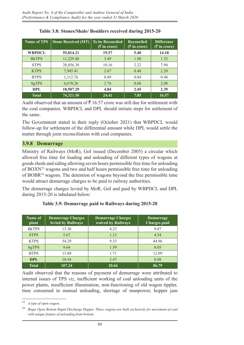| <b>Name of TPS</b> | <b>Stone Received (MT)</b> | <b>To be Reconciled</b><br>$($ ₹ in crore) | <b>Reconciled</b><br>$(\bar{z}$ in crore) | <b>Difference</b><br>$($ ₹ in crore) |
|--------------------|----------------------------|--------------------------------------------|-------------------------------------------|--------------------------------------|
| <b>WBPDCL</b>      | 55,814.21                  | 19.57                                      | 5.40                                      | 14.18                                |
| <b>BKTPS</b>       | 11,229.40                  | 3.49                                       | 1.98                                      | 1.52                                 |
| <b>STPS</b>        | 28,856.38                  | 10.16                                      | 2.22                                      | 7.94                                 |
| <b>KTPS</b>        | 7,945.41                   | 2.67                                       | 0.48                                      | 2.20                                 |
| <b>BTPS</b>        | 1,112.76                   | 0.49                                       | 0.04                                      | 0.44                                 |
| SgTPS              | 6,670.26                   | 2.76                                       | 0.68                                      | 2.08                                 |
| DPL                | 18,507.29                  | 4.84                                       | 2.45                                      | 2.39                                 |
| <b>Total</b>       | 74,321.50                  | 24.41                                      | 7.85                                      | 16.57                                |

#### **Table 3.8: Stones/Shale/ Boulders received during 2015-20**

Audit observed that an amount of  $\bar{\tau}$  16.57 crore was still due for settlement with the coal companies. WBPDCL and DPL should initiate steps for settlement of the same.

The Government stated in their reply (October 2021) that WBPDCL would follow-up for settlement of the differential amount while DPL would settle the matter through joint reconciliation with coal companies.

#### **3.9.8 Demurrage**

Ministry of Railways (MoR), GoI issued (December 2005) a circular which allowed free time for loading and unloading of different types of wagons at goods sheds and siding allowing seven hours permissible free time for unloading of BOXN53 wagons and two and half hours permissible free time for unloading of BOBR54 wagons. The detention of wagons beyond the free permissible time would attract demurrage charges to be paid to railway authorities.

The demurrage charges levied by MoR, GoI and paid by WBPDCL and DPL during 2015-20 is tabulated below:

| Name of<br>plant | <b>Demurrage Charges</b><br>levied by Railways | <b>Demurrage Charges</b><br>waived by Railways | Demurrage<br><b>Charges</b> paid |
|------------------|------------------------------------------------|------------------------------------------------|----------------------------------|
| <b>BkTPS</b>     | 13.30                                          | 4.23                                           | 9.07                             |
| <b>STPS</b>      | 5.67                                           | 1.13                                           | 4.54                             |
| <b>KTPS</b>      | 54.29                                          | 9.33                                           | 44.96                            |
| <b>SgTPS</b>     | 9.64                                           | 1.59                                           | 8.05                             |
| <b>BTPS</b>      | 13.80                                          | 1.71                                           | 12.09                            |
| <b>DPL</b>       | 10.54                                          | 2.47                                           | 8.08                             |
| Total            | 107.24                                         | 20.66                                          | 86.79                            |

#### **Table 3.9: Demurrage paid to Railways during 2015-20**

Audit observed that the reasons of payment of demurrage were attributed to internal issues of TPS *viz*, inefficient working of coal unloading units of the power plants, insufficient illumination, non-functioning of old wagon tippler, time consumed in manual unloading, shortage of manpower, hopper jam

<sup>53</sup> *A type of open wagon.*

<sup>54</sup> *Bogie Open Bottom Rapid Discharge Hopper. These wagons are built exclusively for movement of coal with unique feature of unloading from bottom*.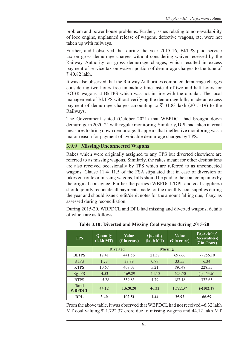problem and power house problems. Further, issues relating to non-availability of loco engine, unplanned release of wagons, defective wagons, etc. were not taken up with railways.

Further, audit observed that during the year 2015-16, BkTPS paid service tax on gross demurrage charges without considering waiver received by the Railway Authority on gross demurrage charges, which resulted in excess payment of service tax on waiver portion of demurrage charges to the tune of  $\bar{5}$  40.82 lakh.

It was also observed that the Railway Authorities computed demurrage charges considering two hours free unloading time instead of two and half hours for BOBR wagons at BkTPS which was not in line with the circular. The local management of BkTPS without verifying the demurrage bills, made an excess payment of demurrage charges amounting to  $\bar{\tau}$  31.83 lakh (2015-19) to the Railways.

The Government stated (October 2021) that WBPDCL had brought down demurrage in 2020-21 with regular monitoring. Similarly, DPL had taken internal measures to bring down demurrage. It appears that ineffective monitoring was a major reason for payment of avoidable demurrage charges by TPS.

## **3.9.9 Missing/Unconnected Wagons**

Rakes which were originally assigned to any TPS but diverted elsewhere are referred to as missing wagons. Similarly, the rakes meant for other destinations are also received occasionally by TPS which are referred to as unconnected wagons. Clause 11.4/ 11.5 of the FSA stipulated that in case of diversion of rakes en-route or missing wagons, bills should be paid to the coal companies by the original consignee. Further the parties (WBPDCL/DPL and coal suppliers) should jointly reconcile all payments made for the monthly coal supplies during the year and should issue credit/debit notes for the amount falling due, if any, as assessed during reconciliation.

During 2015-20, WBPDCL and DPL had missing and diverted wagons, details of which are as follows:

| <b>TPS</b>                    | Quantity<br>(lakh MT) | <b>Value</b><br>$(\bar{\bar{\mathcal{R}}}$ in crore) | Quantity<br>(lakh MT) | <b>Value</b><br>$(\bar{\bar{\mathbf{x}}}$ in crore) | Payable $(+)$ /<br>Receivable(-)<br>$($ ₹ in Crore) |
|-------------------------------|-----------------------|------------------------------------------------------|-----------------------|-----------------------------------------------------|-----------------------------------------------------|
|                               |                       | <b>Diverted</b>                                      | <b>Missing</b>        |                                                     |                                                     |
| <b>B</b> kTPS                 | 12.41                 | 441.56                                               | 21.38                 | 697.66                                              | $(-)$ 256.10                                        |
| <b>STPS</b>                   | 1.23                  | 39.89                                                | 0.79                  | 33.55                                               | 6.34                                                |
| <b>KTPS</b>                   | 10.67                 | 409.03                                               | 5.21                  | 180.48                                              | 228.55                                              |
| <b>SgTPS</b>                  | 4.53                  | 169.89                                               | 14.15                 | 623.50                                              | $(-)$ 453.61                                        |
| <b>BTPS</b>                   | 15.28                 | 559.83                                               | 4.79                  | 187.18                                              | 372.65                                              |
| <b>Total</b><br><b>WBPDCL</b> | 44.12                 | 1,620.20                                             | 46.32                 | 1,722.37                                            | $(-)102.17$                                         |
| DPL                           | 3.40                  | 102.51                                               | 1.44                  | 35.92                                               | 66.59                                               |

**Table 3.10: Diverted and Missing Coal wagons during 2015-20**

From the above table, it was observed that WBPDCL had not received 46.32 lakh MT coal valuing  $\bar{\tau}$  1,722.37 crore due to missing wagons and 44.12 lakh MT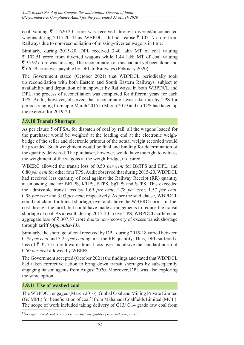coal valuing  $\bar{\tau}$  1,620.20 crore was received through diverted/unconnected wagons during 2015-20. Thus, WBPDCL did not realise  $\bar{\tau}$  102.17 crore from Railways due to non-reconciliation of missing/diverted wagons in time.

Similarly, during 2015-20, DPL received 3.40 lakh MT of coal valuing  $\bar{\tau}$  102.51 crore from diverted wagons while 1.44 lakh MT of coal valuing  $\bar{\tau}$  35.92 crore was missing. The reconciliation of this had not yet been done and  $\bar{\epsilon}$  66.59 crore was payable by DPL to Railways (February 2020).

The Government stated (October 2021) that WBPDCL periodically took up reconciliation with both Eastern and South Eastern Railways, subject to availability and deputation of manpower by Railways. In both WBPDCL and DPL, the process of reconciliation was completed for different years for each TPS. Audit, however, observed that reconciliation was taken up by TPS for periods ranging from upto March 2015 to March 2019 and no TPS had taken up the exercise for 2019-20.

## **3.9.10 Transit Shortage**

As per clause 5 of FSA, for dispatch of coal by rail, all the wagons loaded for the purchaser would be weighed at the loading end at the electronic weighbridge of the seller and electronic printout of the actual weight recorded would be provided. Such weighment would be final and binding for determination of the quantity delivered. The purchaser, however, would have the right to witness the weighment of the wagons at the weigh-bridge, if desired.

WBERC allowed the transit loss of 0.50 *per cent* for BkTPS and DPL, and 0.80 *per cent* for other four TPS. Audit observed that during 2015-20, WBPDCL had received less quantity of coal against the Railway Receipt (RR) quantity at unloading end for BkTPS, KTPS, BTPS, SgTPS and STPS. This exceeded the admissible transit loss by 1.69 *per cent*, 1.78 *per cent*, 1.57 *per cent*, 0.98 *per cent* and 3.03 *per cent*, respectively. As per the said clause, WBPDCL could not claim for transit shortage, over and above the WBERC norms, in fuel cost through the tariff, but could have made arrangements to reduce the transit shortage of coal. As a result, during 2015-20 in five TPS, WBPDCL suffered an aggregate loss of  $\bar{\tau}$  307.57 crore due to non-recovery of excess transit shortage through tariff *(Appendix-13).*

Similarly, the shortage of coal received by DPL during 2015-18 varied between 0.79 *per cent* and 3.25 *per cent* against the RR quantity. Thus, DPL suffered a loss of  $\bar{\tau}$  32.55 crore towards transit loss over and above the standard norm of 0.50 *per cent* allowed by WBERC.

The Government accepted (October 2021) the findings and stated that WBPDCL had taken corrective action to bring down transit shortages by subsequently engaging liaison agents from August 2020. Moreover, DPL was also exploring the same option.

## **3.9.11 Use of washed coal**

The WBPDCL engaged (March 2016), Global Coal and Mining Private Limited (GCMPL) for beneficiation of coal<sup>55</sup> from Mahanadi Coalfields Limited (MCL). The scope of work included taking delivery of G13/ G14 grade raw coal from

<sup>55</sup>*Beneficiation of coal is a process by which the quality of raw coal is improved.*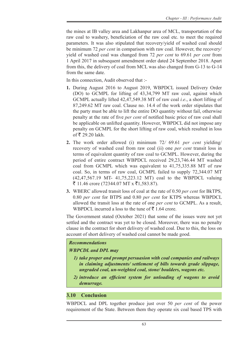the mines at IB valley area and Lakhanpur area of MCL, transportation of the raw coal to washery, beneficiation of the raw coal etc. to meet the required parameters. It was also stipulated that recovery/yield of washed coal should be minimum 72 *per cent* in comparison with raw coal. However, the recovery/ yield of washed coal was changed from 72 *per cent* to 69.61 *per cent* from 1 April 2017 in subsequent amendment order dated 24 September 2018. Apart from this, the delivery of coal from MCL was also changed from G-13 to G-14 from the same date.

In this connection, Audit observed that :-

- **1.** During August 2016 to August 2019, WBPDCL issued Delivery Order (DO) to GCMPL for lifting of 43,34,799 MT raw coal, against which GCMPL actually lifted 42,47,549.38 MT of raw coal *i.e*., a short lifting of 87,249.62 MT raw coal. Clause no. 14.4 of the work order stipulates that the party must be able to lift the entire DO quantity without fail, otherwise penalty at the rate of five *per cent* of notified basic price of raw coal shall be applicable on unlifted quantity. However, WBPDCL did not impose any penalty on GCMPL for the short lifting of raw coal, which resulted in loss of  $\bar{\bar{\xi}}$  29.20 lakh.
- **2.** The work order allowed (i) minimum 72*/* 69.61 *per cent* yielding/ recovery of washed coal from raw coal (ii) one *per cent* transit loss in terms of equivalent quantity of raw coal to GCMPL. However, during the period of entire contract WBPDCL received 29,23,746.44 MT washed coal from GCMPL which was equivalent to 41,75,335.88 MT of raw coal. So, in terms of raw coal, GCMPL failed to supply 72,344.07 MT (42,47,567.19 MT- 41,75,223.12 MT) coal to the WBPDCL valuing ₹ 11.46 crore (72344.07 MT x ₹1,583.87).
- **3.** WBERC allowed transit loss of coal at the rate of 0.50 *per cent* for BkTPS, 0.80 *per cent* for BTPS and 0.80 *per cent* for KTPS whereas WBPDCL allowed the transit loss at the rate of one *per cent* to GCMPL. As a result, WBPDCL incurred a loss to the tune of  $\bar{\tau}$  1.64 crore.

The Government stated (October 2021) that some of the issues were not yet settled and the contract was yet to be closed. Moreover, there was no penalty clause in the contract for short delivery of washed coal. Due to this, the loss on account of short delivery of washed coal cannot be made good.

#### *Recommendations*

## *WBPCDL and DPL may*

- *1) take proper and prompt persuasion with coal companies and railways in claiming adjustments/ settlement of bills towards grade slippage, ungraded coal, un-weighted coal, stone/ boulders, wagons etc.*
- *2) introduce an efficient system for unloading of wagons to avoid demurrage.*

## **3.10 Conclusion**

WBPDCL and DPL together produce just over 50 *per cent* of the power requirement of the State. Between them they operate six coal based TPS with